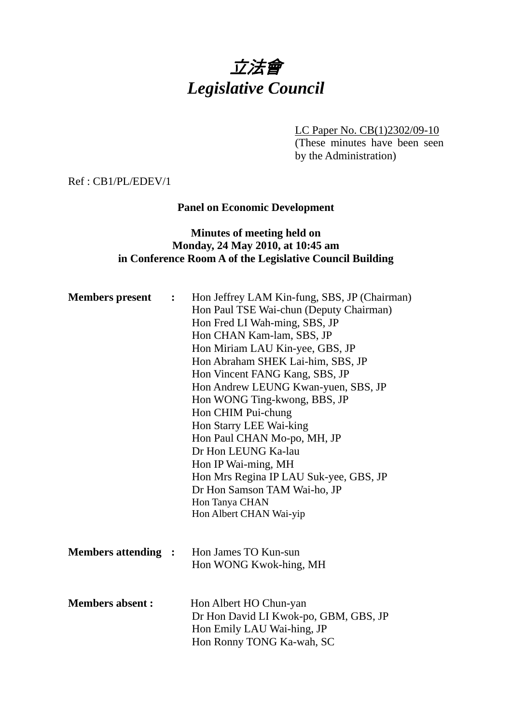# 立法會 *Legislative Council*

LC Paper No. CB(1)2302/09-10 (These minutes have been seen by the Administration)

Ref : CB1/PL/EDEV/1

# **Panel on Economic Development**

## **Minutes of meeting held on Monday, 24 May 2010, at 10:45 am in Conference Room A of the Legislative Council Building**

| <b>Members</b> present     | $\ddot{\bullet}$ | Hon Jeffrey LAM Kin-fung, SBS, JP (Chairman)<br>Hon Paul TSE Wai-chun (Deputy Chairman)<br>Hon Fred LI Wah-ming, SBS, JP<br>Hon CHAN Kam-lam, SBS, JP<br>Hon Miriam LAU Kin-yee, GBS, JP<br>Hon Abraham SHEK Lai-him, SBS, JP<br>Hon Vincent FANG Kang, SBS, JP<br>Hon Andrew LEUNG Kwan-yuen, SBS, JP<br>Hon WONG Ting-kwong, BBS, JP<br>Hon CHIM Pui-chung<br>Hon Starry LEE Wai-king<br>Hon Paul CHAN Mo-po, MH, JP<br>Dr Hon LEUNG Ka-lau<br>Hon IP Wai-ming, MH<br>Hon Mrs Regina IP LAU Suk-yee, GBS, JP<br>Dr Hon Samson TAM Wai-ho, JP<br>Hon Tanya CHAN<br>Hon Albert CHAN Wai-yip |
|----------------------------|------------------|---------------------------------------------------------------------------------------------------------------------------------------------------------------------------------------------------------------------------------------------------------------------------------------------------------------------------------------------------------------------------------------------------------------------------------------------------------------------------------------------------------------------------------------------------------------------------------------------|
| <b>Members attending :</b> |                  | Hon James TO Kun-sun<br>Hon WONG Kwok-hing, MH                                                                                                                                                                                                                                                                                                                                                                                                                                                                                                                                              |
| <b>Members absent:</b>     |                  | Hon Albert HO Chun-yan<br>Dr Hon David LI Kwok-po, GBM, GBS, JP<br>Hon Emily LAU Wai-hing, JP<br>Hon Ronny TONG Ka-wah, SC                                                                                                                                                                                                                                                                                                                                                                                                                                                                  |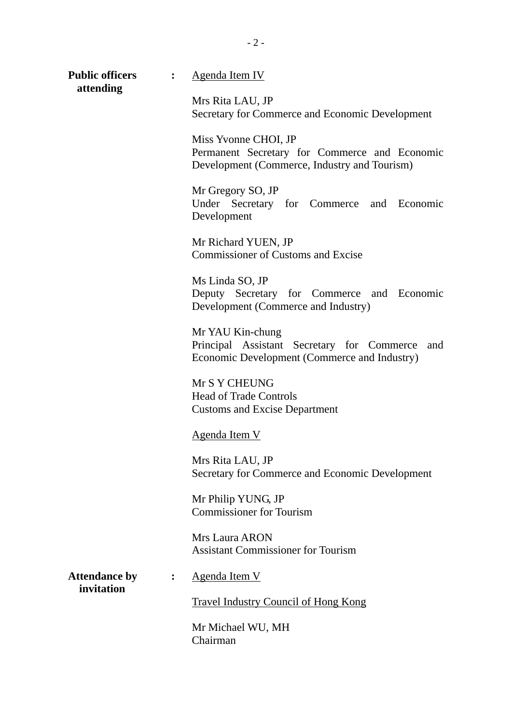**Public officers : Agenda Item IV attending**

Mrs Rita LAU, JP Secretary for Commerce and Economic Development

Miss Yvonne CHOI, JP Permanent Secretary for Commerce and Economic Development (Commerce, Industry and Tourism)

Mr Gregory SO, JP Under Secretary for Commerce and Economic Development

Mr Richard YUEN, JP Commissioner of Customs and Excise

Ms Linda SO, JP Deputy Secretary for Commerce and Economic Development (Commerce and Industry)

Mr YAU Kin-chung Principal Assistant Secretary for Commerce and Economic Development (Commerce and Industry)

Mr S Y CHEUNG Head of Trade Controls Customs and Excise Department

#### Agenda Item V

Mrs Rita LAU, JP Secretary for Commerce and Economic Development

Mr Philip YUNG, JP Commissioner for Tourism

Mrs Laura ARON Assistant Commissioner for Tourism

 **invitation** 

Attendance by : Agenda Item V

Travel Industry Council of Hong Kong

Mr Michael WU, MH Chairman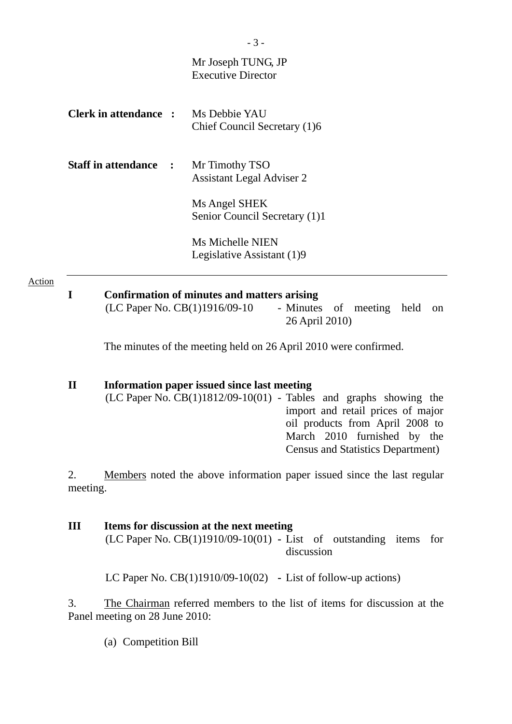| Mr Joseph TUNG, JP<br><b>Executive Director</b>                                                                     |
|---------------------------------------------------------------------------------------------------------------------|
| <b>Clerk in attendance :</b> Ms Debbie YAU<br>Chief Council Secretary (1)6                                          |
| <b>Staff in attendance :</b><br>Mr Timothy TSO<br><b>Assistant Legal Adviser 2</b>                                  |
| Ms Angel SHEK<br>Senior Council Secretary (1)1                                                                      |
| <b>Ms Michelle NIEN</b><br>Legislative Assistant (1)9                                                               |
| <b>Confirmation of minutes and matters arising</b><br>(LC Paper No. CB(1)1916/09-10<br>- Minutes<br>of meeting held |
|                                                                                                                     |

The minutes of the meeting held on 26 April 2010 were confirmed.

26 April 2010)

#### **II Information paper issued since last meeting**

(LC Paper No. CB(1)1812/09-10(01) - Tables and graphs showing the import and retail prices of major oil products from April 2008 to March 2010 furnished by the Census and Statistics Department)

2. Members noted the above information paper issued since the last regular meeting.

**III Items for discussion at the next meeting**  (LC Paper No. CB(1)1910/09-10(01) **-** List of outstanding items for discussion

LC Paper No. CB(1)1910/09-10(02) **-** List of follow-up actions)

3. The Chairman referred members to the list of items for discussion at the Panel meeting on 28 June 2010:

(a) Competition Bill

 $-3 -$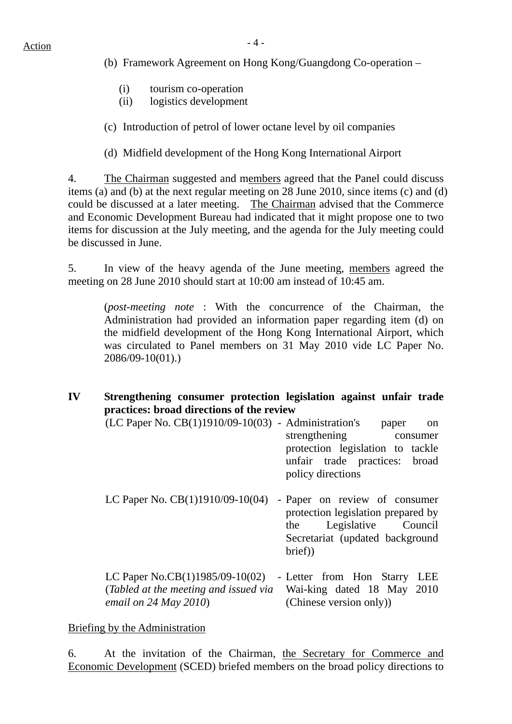- (b) Framework Agreement on Hong Kong/Guangdong Co-operation
	- (i) tourism co-operation
	- (ii) logistics development
- (c) Introduction of petrol of lower octane level by oil companies
- (d) Midfield development of the Hong Kong International Airport

4. The Chairman suggested and members agreed that the Panel could discuss items (a) and (b) at the next regular meeting on 28 June 2010, since items (c) and (d) could be discussed at a later meeting. The Chairman advised that the Commerce and Economic Development Bureau had indicated that it might propose one to two items for discussion at the July meeting, and the agenda for the July meeting could be discussed in June.

5. In view of the heavy agenda of the June meeting, members agreed the meeting on 28 June 2010 should start at 10:00 am instead of 10:45 am.

(*post-meeting note* : With the concurrence of the Chairman, the Administration had provided an information paper regarding item (d) on the midfield development of the Hong Kong International Airport, which was circulated to Panel members on 31 May 2010 vide LC Paper No. 2086/09-10(01).)

## **IV Strengthening consumer protection legislation against unfair trade practices: broad directions of the review**

- $(LC$  Paper No.  $CB(1)1910/09-10(03)$  Administration's paper on strengthening consumer protection legislation to tackle unfair trade practices: broad policy directions
- LC Paper No. CB(1)1910/09-10(04) Paper on review of consumer protection legislation prepared by the Legislative Council Secretariat (updated background brief))

LC Paper No.CB(1)1985/09-10(02) - Letter from Hon Starry LEE (*Tabled at the meeting and issued via email on 24 May 2010*) Wai-king dated 18 May 2010 (Chinese version only))

# Briefing by the Administration

6. At the invitation of the Chairman, the Secretary for Commerce and Economic Development (SCED) briefed members on the broad policy directions to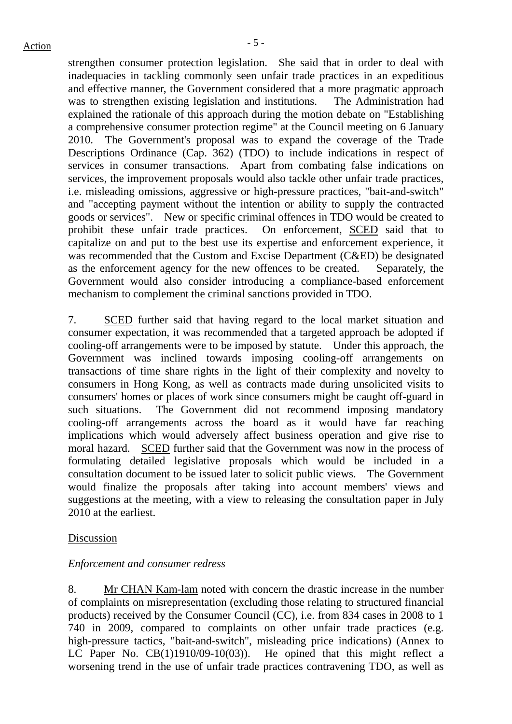strengthen consumer protection legislation. She said that in order to deal with inadequacies in tackling commonly seen unfair trade practices in an expeditious and effective manner, the Government considered that a more pragmatic approach was to strengthen existing legislation and institutions. The Administration had explained the rationale of this approach during the motion debate on "Establishing a comprehensive consumer protection regime" at the Council meeting on 6 January 2010. The Government's proposal was to expand the coverage of the Trade Descriptions Ordinance (Cap. 362) (TDO) to include indications in respect of services in consumer transactions. Apart from combating false indications on services, the improvement proposals would also tackle other unfair trade practices, i.e. misleading omissions, aggressive or high-pressure practices, "bait-and-switch" and "accepting payment without the intention or ability to supply the contracted goods or services". New or specific criminal offences in TDO would be created to prohibit these unfair trade practices. On enforcement, SCED said that to capitalize on and put to the best use its expertise and enforcement experience, it was recommended that the Custom and Excise Department (C&ED) be designated as the enforcement agency for the new offences to be created. Separately, the Government would also consider introducing a compliance-based enforcement mechanism to complement the criminal sanctions provided in TDO.

7. SCED further said that having regard to the local market situation and consumer expectation, it was recommended that a targeted approach be adopted if cooling-off arrangements were to be imposed by statute. Under this approach, the Government was inclined towards imposing cooling-off arrangements on transactions of time share rights in the light of their complexity and novelty to consumers in Hong Kong, as well as contracts made during unsolicited visits to consumers' homes or places of work since consumers might be caught off-guard in such situations. The Government did not recommend imposing mandatory cooling-off arrangements across the board as it would have far reaching implications which would adversely affect business operation and give rise to moral hazard. SCED further said that the Government was now in the process of formulating detailed legislative proposals which would be included in a consultation document to be issued later to solicit public views. The Government would finalize the proposals after taking into account members' views and suggestions at the meeting, with a view to releasing the consultation paper in July 2010 at the earliest.

#### Discussion

## *Enforcement and consumer redress*

8. Mr CHAN Kam-lam noted with concern the drastic increase in the number of complaints on misrepresentation (excluding those relating to structured financial products) received by the Consumer Council (CC), i.e. from 834 cases in 2008 to 1 740 in 2009, compared to complaints on other unfair trade practices (e.g. high-pressure tactics, "bait-and-switch", misleading price indications) (Annex to LC Paper No. CB(1)1910/09-10(03)). He opined that this might reflect a worsening trend in the use of unfair trade practices contravening TDO, as well as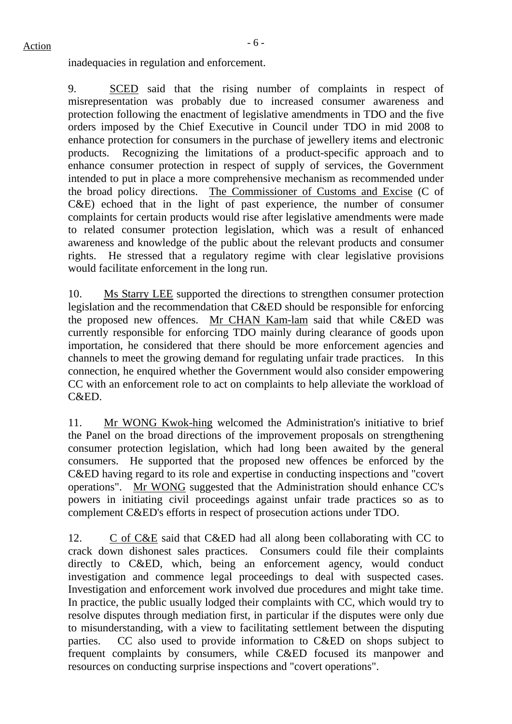inadequacies in regulation and enforcement.

9. SCED said that the rising number of complaints in respect of misrepresentation was probably due to increased consumer awareness and protection following the enactment of legislative amendments in TDO and the five orders imposed by the Chief Executive in Council under TDO in mid 2008 to enhance protection for consumers in the purchase of jewellery items and electronic products. Recognizing the limitations of a product-specific approach and to enhance consumer protection in respect of supply of services, the Government intended to put in place a more comprehensive mechanism as recommended under the broad policy directions. The Commissioner of Customs and Excise (C of C&E) echoed that in the light of past experience, the number of consumer complaints for certain products would rise after legislative amendments were made to related consumer protection legislation, which was a result of enhanced awareness and knowledge of the public about the relevant products and consumer rights. He stressed that a regulatory regime with clear legislative provisions would facilitate enforcement in the long run.

10. Ms Starry LEE supported the directions to strengthen consumer protection legislation and the recommendation that C&ED should be responsible for enforcing the proposed new offences. Mr CHAN Kam-lam said that while C&ED was currently responsible for enforcing TDO mainly during clearance of goods upon importation, he considered that there should be more enforcement agencies and channels to meet the growing demand for regulating unfair trade practices. In this connection, he enquired whether the Government would also consider empowering CC with an enforcement role to act on complaints to help alleviate the workload of C&ED.

11. Mr WONG Kwok-hing welcomed the Administration's initiative to brief the Panel on the broad directions of the improvement proposals on strengthening consumer protection legislation, which had long been awaited by the general consumers. He supported that the proposed new offences be enforced by the C&ED having regard to its role and expertise in conducting inspections and "covert operations". Mr WONG suggested that the Administration should enhance CC's powers in initiating civil proceedings against unfair trade practices so as to complement C&ED's efforts in respect of prosecution actions under TDO.

12. C of C&E said that C&ED had all along been collaborating with CC to crack down dishonest sales practices. Consumers could file their complaints directly to C&ED, which, being an enforcement agency, would conduct investigation and commence legal proceedings to deal with suspected cases. Investigation and enforcement work involved due procedures and might take time. In practice, the public usually lodged their complaints with CC, which would try to resolve disputes through mediation first, in particular if the disputes were only due to misunderstanding, with a view to facilitating settlement between the disputing parties. CC also used to provide information to C&ED on shops subject to frequent complaints by consumers, while C&ED focused its manpower and resources on conducting surprise inspections and "covert operations".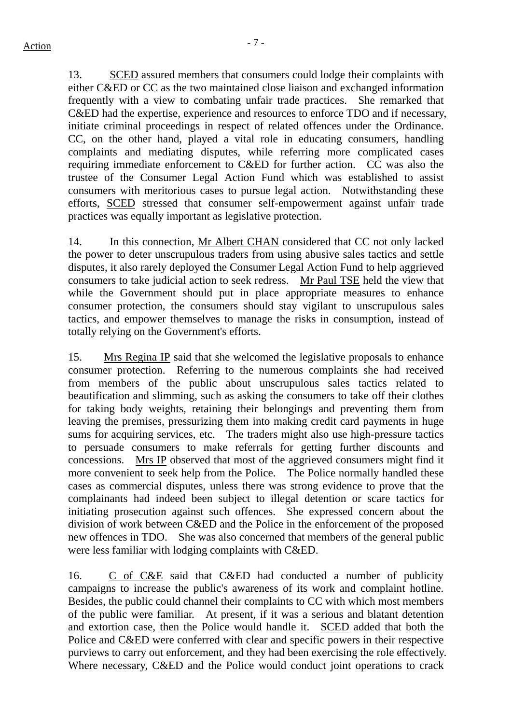13. SCED assured members that consumers could lodge their complaints with either C&ED or CC as the two maintained close liaison and exchanged information frequently with a view to combating unfair trade practices. She remarked that C&ED had the expertise, experience and resources to enforce TDO and if necessary, initiate criminal proceedings in respect of related offences under the Ordinance. CC, on the other hand, played a vital role in educating consumers, handling complaints and mediating disputes, while referring more complicated cases requiring immediate enforcement to C&ED for further action. CC was also the trustee of the Consumer Legal Action Fund which was established to assist consumers with meritorious cases to pursue legal action. Notwithstanding these efforts, SCED stressed that consumer self-empowerment against unfair trade practices was equally important as legislative protection.

14. In this connection, Mr Albert CHAN considered that CC not only lacked the power to deter unscrupulous traders from using abusive sales tactics and settle disputes, it also rarely deployed the Consumer Legal Action Fund to help aggrieved consumers to take judicial action to seek redress. Mr Paul TSE held the view that while the Government should put in place appropriate measures to enhance consumer protection, the consumers should stay vigilant to unscrupulous sales tactics, and empower themselves to manage the risks in consumption, instead of totally relying on the Government's efforts.

15. Mrs Regina IP said that she welcomed the legislative proposals to enhance consumer protection. Referring to the numerous complaints she had received from members of the public about unscrupulous sales tactics related to beautification and slimming, such as asking the consumers to take off their clothes for taking body weights, retaining their belongings and preventing them from leaving the premises, pressurizing them into making credit card payments in huge sums for acquiring services, etc. The traders might also use high-pressure tactics to persuade consumers to make referrals for getting further discounts and concessions. Mrs IP observed that most of the aggrieved consumers might find it more convenient to seek help from the Police. The Police normally handled these cases as commercial disputes, unless there was strong evidence to prove that the complainants had indeed been subject to illegal detention or scare tactics for initiating prosecution against such offences. She expressed concern about the division of work between C&ED and the Police in the enforcement of the proposed new offences in TDO. She was also concerned that members of the general public were less familiar with lodging complaints with C&ED.

16. C of C&E said that C&ED had conducted a number of publicity campaigns to increase the public's awareness of its work and complaint hotline. Besides, the public could channel their complaints to CC with which most members of the public were familiar. At present, if it was a serious and blatant detention and extortion case, then the Police would handle it. SCED added that both the Police and C&ED were conferred with clear and specific powers in their respective purviews to carry out enforcement, and they had been exercising the role effectively. Where necessary, C&ED and the Police would conduct joint operations to crack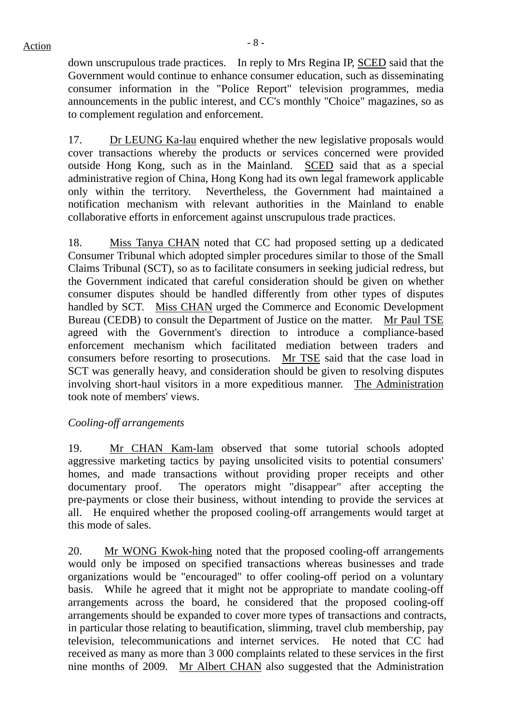$Action$ 

down unscrupulous trade practices. In reply to Mrs Regina IP, SCED said that the Government would continue to enhance consumer education, such as disseminating consumer information in the "Police Report" television programmes, media announcements in the public interest, and CC's monthly "Choice" magazines, so as to complement regulation and enforcement.

17. Dr LEUNG Ka-lau enquired whether the new legislative proposals would cover transactions whereby the products or services concerned were provided outside Hong Kong, such as in the Mainland. SCED said that as a special administrative region of China, Hong Kong had its own legal framework applicable only within the territory. Nevertheless, the Government had maintained a notification mechanism with relevant authorities in the Mainland to enable collaborative efforts in enforcement against unscrupulous trade practices.

18. Miss Tanya CHAN noted that CC had proposed setting up a dedicated Consumer Tribunal which adopted simpler procedures similar to those of the Small Claims Tribunal (SCT), so as to facilitate consumers in seeking judicial redress, but the Government indicated that careful consideration should be given on whether consumer disputes should be handled differently from other types of disputes handled by SCT. Miss CHAN urged the Commerce and Economic Development Bureau (CEDB) to consult the Department of Justice on the matter. Mr Paul TSE agreed with the Government's direction to introduce a compliance-based enforcement mechanism which facilitated mediation between traders and consumers before resorting to prosecutions. Mr TSE said that the case load in SCT was generally heavy, and consideration should be given to resolving disputes involving short-haul visitors in a more expeditious manner. The Administration took note of members' views.

## *Cooling-off arrangements*

19. Mr CHAN Kam-lam observed that some tutorial schools adopted aggressive marketing tactics by paying unsolicited visits to potential consumers' homes, and made transactions without providing proper receipts and other documentary proof. The operators might "disappear" after accepting the pre-payments or close their business, without intending to provide the services at all. He enquired whether the proposed cooling-off arrangements would target at this mode of sales.

20. Mr WONG Kwok-hing noted that the proposed cooling-off arrangements would only be imposed on specified transactions whereas businesses and trade organizations would be "encouraged" to offer cooling-off period on a voluntary basis. While he agreed that it might not be appropriate to mandate cooling-off arrangements across the board, he considered that the proposed cooling-off arrangements should be expanded to cover more types of transactions and contracts, in particular those relating to beautification, slimming, travel club membership, pay television, telecommunications and internet services. He noted that CC had received as many as more than 3 000 complaints related to these services in the first nine months of 2009. Mr Albert CHAN also suggested that the Administration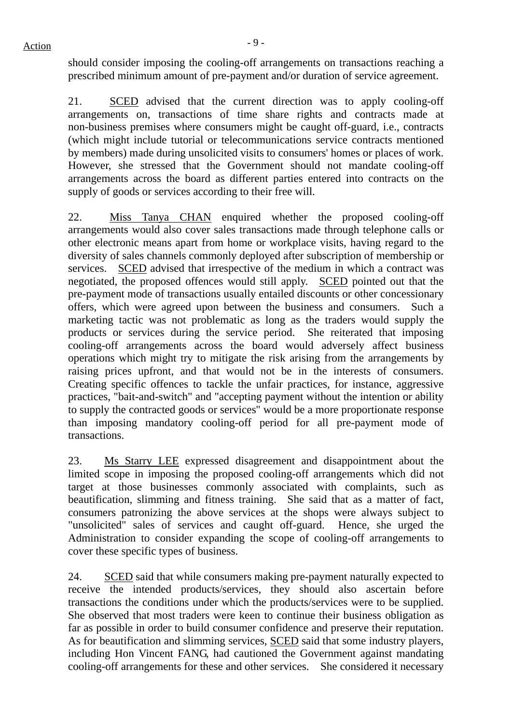should consider imposing the cooling-off arrangements on transactions reaching a prescribed minimum amount of pre-payment and/or duration of service agreement.

21. SCED advised that the current direction was to apply cooling-off arrangements on, transactions of time share rights and contracts made at non-business premises where consumers might be caught off-guard, i.e., contracts (which might include tutorial or telecommunications service contracts mentioned by members) made during unsolicited visits to consumers' homes or places of work. However, she stressed that the Government should not mandate cooling-off arrangements across the board as different parties entered into contracts on the supply of goods or services according to their free will.

22. Miss Tanya CHAN enquired whether the proposed cooling-off arrangements would also cover sales transactions made through telephone calls or other electronic means apart from home or workplace visits, having regard to the diversity of sales channels commonly deployed after subscription of membership or services. SCED advised that irrespective of the medium in which a contract was negotiated, the proposed offences would still apply. SCED pointed out that the pre-payment mode of transactions usually entailed discounts or other concessionary offers, which were agreed upon between the business and consumers. Such a marketing tactic was not problematic as long as the traders would supply the products or services during the service period. She reiterated that imposing cooling-off arrangements across the board would adversely affect business operations which might try to mitigate the risk arising from the arrangements by raising prices upfront, and that would not be in the interests of consumers. Creating specific offences to tackle the unfair practices, for instance, aggressive practices, "bait-and-switch" and "accepting payment without the intention or ability to supply the contracted goods or services" would be a more proportionate response than imposing mandatory cooling-off period for all pre-payment mode of transactions.

23. Ms Starry LEE expressed disagreement and disappointment about the limited scope in imposing the proposed cooling-off arrangements which did not target at those businesses commonly associated with complaints, such as beautification, slimming and fitness training. She said that as a matter of fact, consumers patronizing the above services at the shops were always subject to "unsolicited" sales of services and caught off-guard. Hence, she urged the Administration to consider expanding the scope of cooling-off arrangements to cover these specific types of business.

24. SCED said that while consumers making pre-payment naturally expected to receive the intended products/services, they should also ascertain before transactions the conditions under which the products/services were to be supplied. She observed that most traders were keen to continue their business obligation as far as possible in order to build consumer confidence and preserve their reputation. As for beautification and slimming services, SCED said that some industry players, including Hon Vincent FANG, had cautioned the Government against mandating cooling-off arrangements for these and other services. She considered it necessary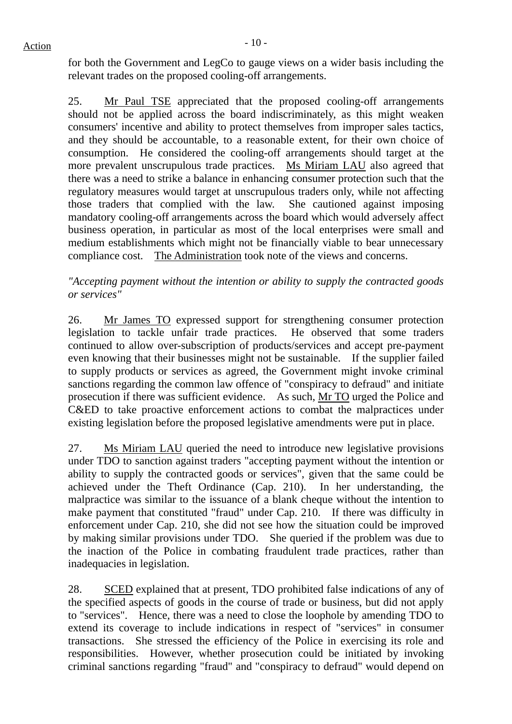for both the Government and LegCo to gauge views on a wider basis including the relevant trades on the proposed cooling-off arrangements.

25. Mr Paul TSE appreciated that the proposed cooling-off arrangements should not be applied across the board indiscriminately, as this might weaken consumers' incentive and ability to protect themselves from improper sales tactics, and they should be accountable, to a reasonable extent, for their own choice of consumption. He considered the cooling-off arrangements should target at the more prevalent unscrupulous trade practices. Ms Miriam LAU also agreed that there was a need to strike a balance in enhancing consumer protection such that the regulatory measures would target at unscrupulous traders only, while not affecting those traders that complied with the law. She cautioned against imposing mandatory cooling-off arrangements across the board which would adversely affect business operation, in particular as most of the local enterprises were small and medium establishments which might not be financially viable to bear unnecessary compliance cost. The Administration took note of the views and concerns.

*"Accepting payment without the intention or ability to supply the contracted goods or services"* 

26. Mr James TO expressed support for strengthening consumer protection legislation to tackle unfair trade practices. He observed that some traders continued to allow over-subscription of products/services and accept pre-payment even knowing that their businesses might not be sustainable. If the supplier failed to supply products or services as agreed, the Government might invoke criminal sanctions regarding the common law offence of "conspiracy to defraud" and initiate prosecution if there was sufficient evidence. As such, Mr TO urged the Police and C&ED to take proactive enforcement actions to combat the malpractices under existing legislation before the proposed legislative amendments were put in place.

27. Ms Miriam LAU queried the need to introduce new legislative provisions under TDO to sanction against traders "accepting payment without the intention or ability to supply the contracted goods or services", given that the same could be achieved under the Theft Ordinance (Cap. 210). In her understanding, the malpractice was similar to the issuance of a blank cheque without the intention to make payment that constituted "fraud" under Cap. 210. If there was difficulty in enforcement under Cap. 210, she did not see how the situation could be improved by making similar provisions under TDO. She queried if the problem was due to the inaction of the Police in combating fraudulent trade practices, rather than inadequacies in legislation.

28. SCED explained that at present, TDO prohibited false indications of any of the specified aspects of goods in the course of trade or business, but did not apply to "services". Hence, there was a need to close the loophole by amending TDO to extend its coverage to include indications in respect of "services" in consumer transactions. She stressed the efficiency of the Police in exercising its role and responsibilities. However, whether prosecution could be initiated by invoking criminal sanctions regarding "fraud" and "conspiracy to defraud" would depend on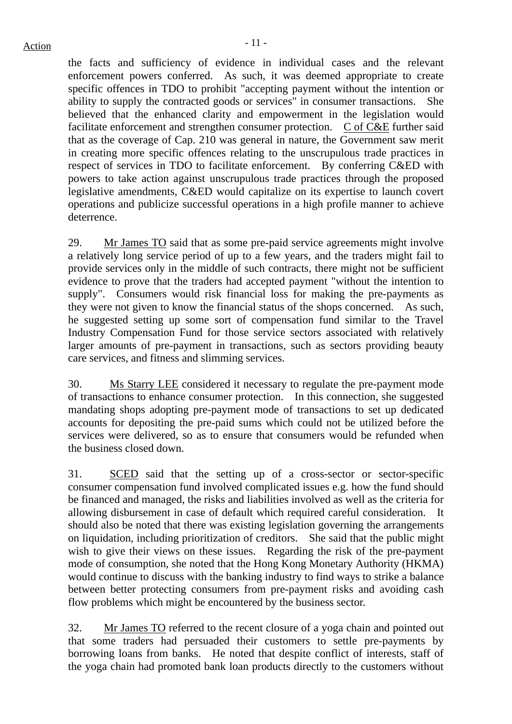the facts and sufficiency of evidence in individual cases and the relevant enforcement powers conferred. As such, it was deemed appropriate to create specific offences in TDO to prohibit "accepting payment without the intention or ability to supply the contracted goods or services" in consumer transactions. She believed that the enhanced clarity and empowerment in the legislation would facilitate enforcement and strengthen consumer protection. C of C&E further said that as the coverage of Cap. 210 was general in nature, the Government saw merit in creating more specific offences relating to the unscrupulous trade practices in respect of services in TDO to facilitate enforcement. By conferring C&ED with powers to take action against unscrupulous trade practices through the proposed legislative amendments, C&ED would capitalize on its expertise to launch covert operations and publicize successful operations in a high profile manner to achieve deterrence.

29. Mr James TO said that as some pre-paid service agreements might involve a relatively long service period of up to a few years, and the traders might fail to provide services only in the middle of such contracts, there might not be sufficient evidence to prove that the traders had accepted payment "without the intention to supply". Consumers would risk financial loss for making the pre-payments as they were not given to know the financial status of the shops concerned. As such, he suggested setting up some sort of compensation fund similar to the Travel Industry Compensation Fund for those service sectors associated with relatively larger amounts of pre-payment in transactions, such as sectors providing beauty care services, and fitness and slimming services.

30. Ms Starry LEE considered it necessary to regulate the pre-payment mode of transactions to enhance consumer protection. In this connection, she suggested mandating shops adopting pre-payment mode of transactions to set up dedicated accounts for depositing the pre-paid sums which could not be utilized before the services were delivered, so as to ensure that consumers would be refunded when the business closed down.

31. SCED said that the setting up of a cross-sector or sector-specific consumer compensation fund involved complicated issues e.g. how the fund should be financed and managed, the risks and liabilities involved as well as the criteria for allowing disbursement in case of default which required careful consideration. It should also be noted that there was existing legislation governing the arrangements on liquidation, including prioritization of creditors. She said that the public might wish to give their views on these issues. Regarding the risk of the pre-payment mode of consumption, she noted that the Hong Kong Monetary Authority (HKMA) would continue to discuss with the banking industry to find ways to strike a balance between better protecting consumers from pre-payment risks and avoiding cash flow problems which might be encountered by the business sector.

32. Mr James TO referred to the recent closure of a yoga chain and pointed out that some traders had persuaded their customers to settle pre-payments by borrowing loans from banks. He noted that despite conflict of interests, staff of the yoga chain had promoted bank loan products directly to the customers without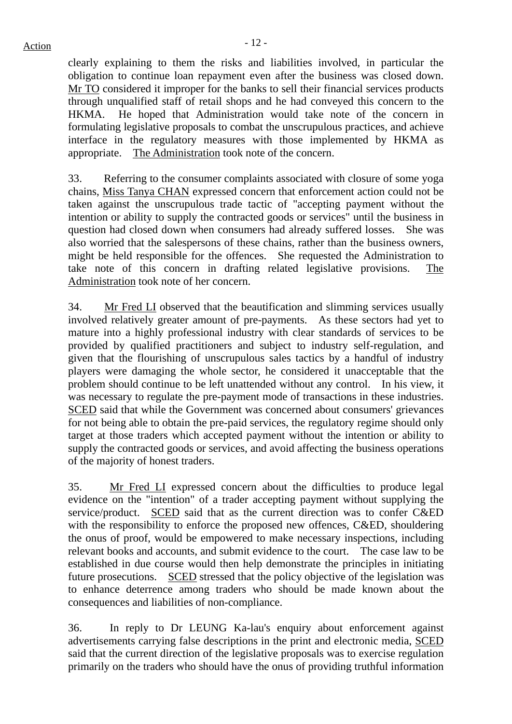clearly explaining to them the risks and liabilities involved, in particular the obligation to continue loan repayment even after the business was closed down. Mr TO considered it improper for the banks to sell their financial services products through unqualified staff of retail shops and he had conveyed this concern to the HKMA. He hoped that Administration would take note of the concern in formulating legislative proposals to combat the unscrupulous practices, and achieve interface in the regulatory measures with those implemented by HKMA as appropriate. The Administration took note of the concern.

33. Referring to the consumer complaints associated with closure of some yoga chains, Miss Tanya CHAN expressed concern that enforcement action could not be taken against the unscrupulous trade tactic of "accepting payment without the intention or ability to supply the contracted goods or services" until the business in question had closed down when consumers had already suffered losses. She was also worried that the salespersons of these chains, rather than the business owners, might be held responsible for the offences. She requested the Administration to take note of this concern in drafting related legislative provisions. The Administration took note of her concern.

34. Mr Fred LI observed that the beautification and slimming services usually involved relatively greater amount of pre-payments. As these sectors had yet to mature into a highly professional industry with clear standards of services to be provided by qualified practitioners and subject to industry self-regulation, and given that the flourishing of unscrupulous sales tactics by a handful of industry players were damaging the whole sector, he considered it unacceptable that the problem should continue to be left unattended without any control. In his view, it was necessary to regulate the pre-payment mode of transactions in these industries. SCED said that while the Government was concerned about consumers' grievances for not being able to obtain the pre-paid services, the regulatory regime should only target at those traders which accepted payment without the intention or ability to supply the contracted goods or services, and avoid affecting the business operations of the majority of honest traders.

35. Mr Fred LI expressed concern about the difficulties to produce legal evidence on the "intention" of a trader accepting payment without supplying the service/product. SCED said that as the current direction was to confer C&ED with the responsibility to enforce the proposed new offences, C&ED, shouldering the onus of proof, would be empowered to make necessary inspections, including relevant books and accounts, and submit evidence to the court. The case law to be established in due course would then help demonstrate the principles in initiating future prosecutions. SCED stressed that the policy objective of the legislation was to enhance deterrence among traders who should be made known about the consequences and liabilities of non-compliance.

36. In reply to Dr LEUNG Ka-lau's enquiry about enforcement against advertisements carrying false descriptions in the print and electronic media, SCED said that the current direction of the legislative proposals was to exercise regulation primarily on the traders who should have the onus of providing truthful information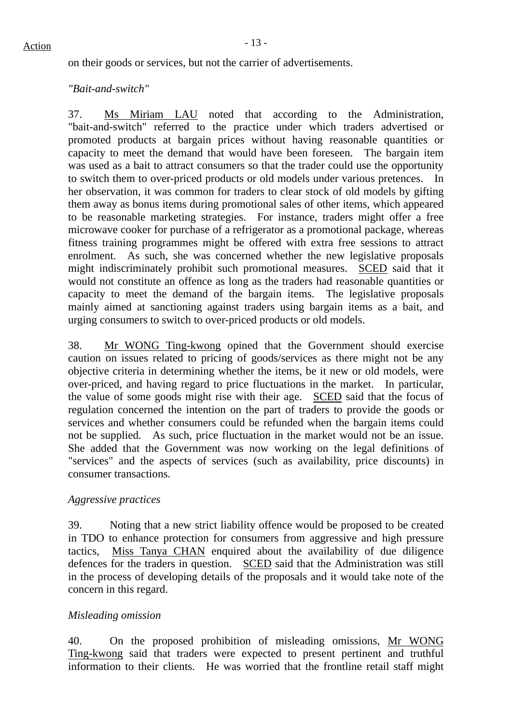on their goods or services, but not the carrier of advertisements.

#### *"Bait-and-switch"*

37. Ms Miriam LAU noted that according to the Administration, "bait-and-switch" referred to the practice under which traders advertised or promoted products at bargain prices without having reasonable quantities or capacity to meet the demand that would have been foreseen. The bargain item was used as a bait to attract consumers so that the trader could use the opportunity to switch them to over-priced products or old models under various pretences. In her observation, it was common for traders to clear stock of old models by gifting them away as bonus items during promotional sales of other items, which appeared to be reasonable marketing strategies. For instance, traders might offer a free microwave cooker for purchase of a refrigerator as a promotional package, whereas fitness training programmes might be offered with extra free sessions to attract enrolment. As such, she was concerned whether the new legislative proposals might indiscriminately prohibit such promotional measures. SCED said that it would not constitute an offence as long as the traders had reasonable quantities or capacity to meet the demand of the bargain items. The legislative proposals mainly aimed at sanctioning against traders using bargain items as a bait, and urging consumers to switch to over-priced products or old models.

38. Mr WONG Ting-kwong opined that the Government should exercise caution on issues related to pricing of goods/services as there might not be any objective criteria in determining whether the items, be it new or old models, were over-priced, and having regard to price fluctuations in the market. In particular, the value of some goods might rise with their age. SCED said that the focus of regulation concerned the intention on the part of traders to provide the goods or services and whether consumers could be refunded when the bargain items could not be supplied. As such, price fluctuation in the market would not be an issue. She added that the Government was now working on the legal definitions of "services" and the aspects of services (such as availability, price discounts) in consumer transactions.

#### *Aggressive practices*

39. Noting that a new strict liability offence would be proposed to be created in TDO to enhance protection for consumers from aggressive and high pressure tactics, Miss Tanya CHAN enquired about the availability of due diligence defences for the traders in question. SCED said that the Administration was still in the process of developing details of the proposals and it would take note of the concern in this regard.

#### *Misleading omission*

40. On the proposed prohibition of misleading omissions, Mr WONG Ting-kwong said that traders were expected to present pertinent and truthful information to their clients. He was worried that the frontline retail staff might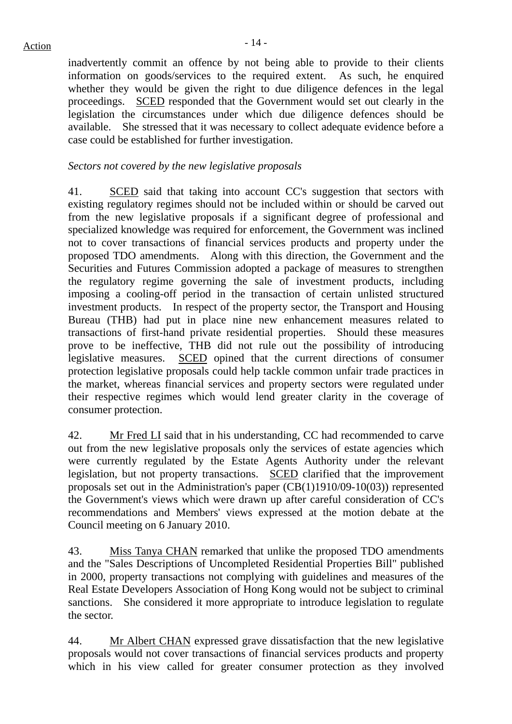inadvertently commit an offence by not being able to provide to their clients information on goods/services to the required extent. As such, he enquired whether they would be given the right to due diligence defences in the legal proceedings. SCED responded that the Government would set out clearly in the legislation the circumstances under which due diligence defences should be available. She stressed that it was necessary to collect adequate evidence before a case could be established for further investigation.

## *Sectors not covered by the new legislative proposals*

41. SCED said that taking into account CC's suggestion that sectors with existing regulatory regimes should not be included within or should be carved out from the new legislative proposals if a significant degree of professional and specialized knowledge was required for enforcement, the Government was inclined not to cover transactions of financial services products and property under the proposed TDO amendments. Along with this direction, the Government and the Securities and Futures Commission adopted a package of measures to strengthen the regulatory regime governing the sale of investment products, including imposing a cooling-off period in the transaction of certain unlisted structured investment products. In respect of the property sector, the Transport and Housing Bureau (THB) had put in place nine new enhancement measures related to transactions of first-hand private residential properties. Should these measures prove to be ineffective, THB did not rule out the possibility of introducing legislative measures. SCED opined that the current directions of consumer protection legislative proposals could help tackle common unfair trade practices in the market, whereas financial services and property sectors were regulated under their respective regimes which would lend greater clarity in the coverage of consumer protection.

42. Mr Fred LI said that in his understanding, CC had recommended to carve out from the new legislative proposals only the services of estate agencies which were currently regulated by the Estate Agents Authority under the relevant legislation, but not property transactions. SCED clarified that the improvement proposals set out in the Administration's paper (CB(1)1910/09-10(03)) represented the Government's views which were drawn up after careful consideration of CC's recommendations and Members' views expressed at the motion debate at the Council meeting on 6 January 2010.

43. Miss Tanya CHAN remarked that unlike the proposed TDO amendments and the "Sales Descriptions of Uncompleted Residential Properties Bill" published in 2000, property transactions not complying with guidelines and measures of the Real Estate Developers Association of Hong Kong would not be subject to criminal sanctions. She considered it more appropriate to introduce legislation to regulate the sector.

44. Mr Albert CHAN expressed grave dissatisfaction that the new legislative proposals would not cover transactions of financial services products and property which in his view called for greater consumer protection as they involved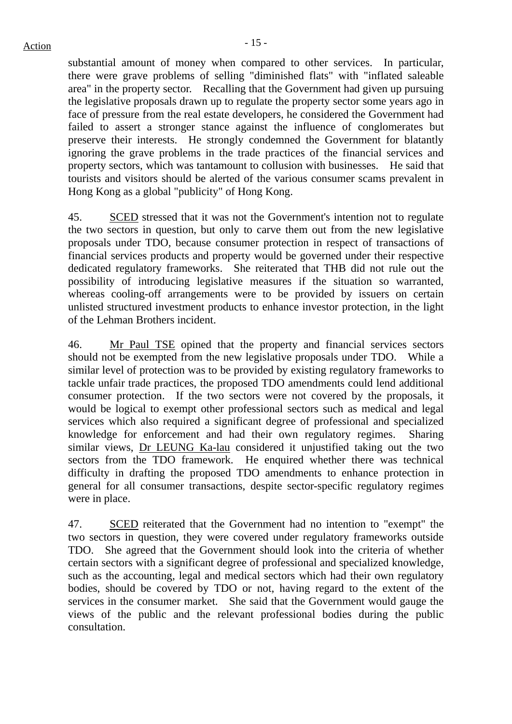substantial amount of money when compared to other services. In particular, there were grave problems of selling "diminished flats" with "inflated saleable area" in the property sector. Recalling that the Government had given up pursuing the legislative proposals drawn up to regulate the property sector some years ago in face of pressure from the real estate developers, he considered the Government had failed to assert a stronger stance against the influence of conglomerates but preserve their interests. He strongly condemned the Government for blatantly ignoring the grave problems in the trade practices of the financial services and property sectors, which was tantamount to collusion with businesses. He said that tourists and visitors should be alerted of the various consumer scams prevalent in Hong Kong as a global "publicity" of Hong Kong.

45. SCED stressed that it was not the Government's intention not to regulate the two sectors in question, but only to carve them out from the new legislative proposals under TDO, because consumer protection in respect of transactions of financial services products and property would be governed under their respective dedicated regulatory frameworks. She reiterated that THB did not rule out the possibility of introducing legislative measures if the situation so warranted, whereas cooling-off arrangements were to be provided by issuers on certain unlisted structured investment products to enhance investor protection, in the light of the Lehman Brothers incident.

46. Mr Paul TSE opined that the property and financial services sectors should not be exempted from the new legislative proposals under TDO. While a similar level of protection was to be provided by existing regulatory frameworks to tackle unfair trade practices, the proposed TDO amendments could lend additional consumer protection. If the two sectors were not covered by the proposals, it would be logical to exempt other professional sectors such as medical and legal services which also required a significant degree of professional and specialized knowledge for enforcement and had their own regulatory regimes. Sharing similar views, Dr LEUNG Ka-lau considered it unjustified taking out the two sectors from the TDO framework. He enquired whether there was technical difficulty in drafting the proposed TDO amendments to enhance protection in general for all consumer transactions, despite sector-specific regulatory regimes were in place.

47. SCED reiterated that the Government had no intention to "exempt" the two sectors in question, they were covered under regulatory frameworks outside TDO. She agreed that the Government should look into the criteria of whether certain sectors with a significant degree of professional and specialized knowledge, such as the accounting, legal and medical sectors which had their own regulatory bodies, should be covered by TDO or not, having regard to the extent of the services in the consumer market. She said that the Government would gauge the views of the public and the relevant professional bodies during the public consultation.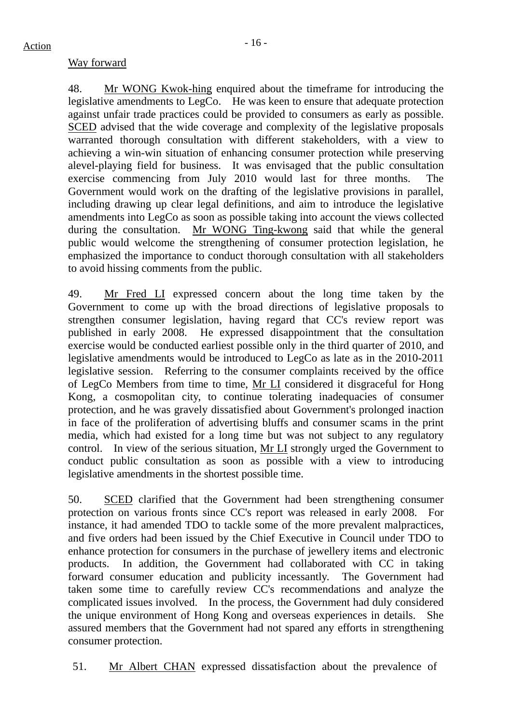## Way forward

48. Mr WONG Kwok-hing enquired about the timeframe for introducing the legislative amendments to LegCo. He was keen to ensure that adequate protection against unfair trade practices could be provided to consumers as early as possible. SCED advised that the wide coverage and complexity of the legislative proposals warranted thorough consultation with different stakeholders, with a view to achieving a win-win situation of enhancing consumer protection while preserving alevel-playing field for business. It was envisaged that the public consultation exercise commencing from July 2010 would last for three months. The Government would work on the drafting of the legislative provisions in parallel, including drawing up clear legal definitions, and aim to introduce the legislative amendments into LegCo as soon as possible taking into account the views collected during the consultation. Mr WONG Ting-kwong said that while the general public would welcome the strengthening of consumer protection legislation, he emphasized the importance to conduct thorough consultation with all stakeholders to avoid hissing comments from the public.

49. Mr Fred LI expressed concern about the long time taken by the Government to come up with the broad directions of legislative proposals to strengthen consumer legislation, having regard that CC's review report was published in early 2008. He expressed disappointment that the consultation exercise would be conducted earliest possible only in the third quarter of 2010, and legislative amendments would be introduced to LegCo as late as in the 2010-2011 legislative session. Referring to the consumer complaints received by the office of LegCo Members from time to time, Mr LI considered it disgraceful for Hong Kong, a cosmopolitan city, to continue tolerating inadequacies of consumer protection, and he was gravely dissatisfied about Government's prolonged inaction in face of the proliferation of advertising bluffs and consumer scams in the print media, which had existed for a long time but was not subject to any regulatory control. In view of the serious situation, Mr LI strongly urged the Government to conduct public consultation as soon as possible with a view to introducing legislative amendments in the shortest possible time.

50. SCED clarified that the Government had been strengthening consumer protection on various fronts since CC's report was released in early 2008. For instance, it had amended TDO to tackle some of the more prevalent malpractices, and five orders had been issued by the Chief Executive in Council under TDO to enhance protection for consumers in the purchase of jewellery items and electronic products. In addition, the Government had collaborated with CC in taking forward consumer education and publicity incessantly. The Government had taken some time to carefully review CC's recommendations and analyze the complicated issues involved. In the process, the Government had duly considered the unique environment of Hong Kong and overseas experiences in details. She assured members that the Government had not spared any efforts in strengthening consumer protection.

51. Mr Albert CHAN expressed dissatisfaction about the prevalence of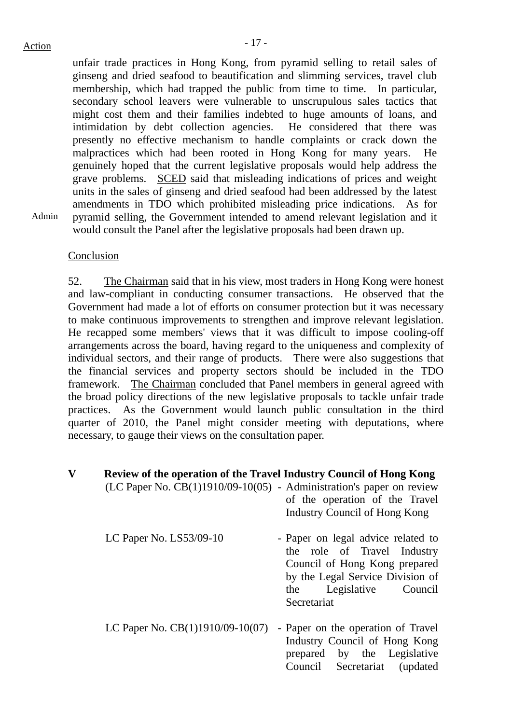unfair trade practices in Hong Kong, from pyramid selling to retail sales of ginseng and dried seafood to beautification and slimming services, travel club membership, which had trapped the public from time to time. In particular, secondary school leavers were vulnerable to unscrupulous sales tactics that might cost them and their families indebted to huge amounts of loans, and intimidation by debt collection agencies. He considered that there was presently no effective mechanism to handle complaints or crack down the malpractices which had been rooted in Hong Kong for many years. He genuinely hoped that the current legislative proposals would help address the grave problems. SCED said that misleading indications of prices and weight units in the sales of ginseng and dried seafood had been addressed by the latest amendments in TDO which prohibited misleading price indications. As for pyramid selling, the Government intended to amend relevant legislation and it would consult the Panel after the legislative proposals had been drawn up.

Admin

#### Conclusion

52. The Chairman said that in his view, most traders in Hong Kong were honest and law-compliant in conducting consumer transactions. He observed that the Government had made a lot of efforts on consumer protection but it was necessary to make continuous improvements to strengthen and improve relevant legislation. He recapped some members' views that it was difficult to impose cooling-off arrangements across the board, having regard to the uniqueness and complexity of individual sectors, and their range of products. There were also suggestions that the financial services and property sectors should be included in the TDO framework. The Chairman concluded that Panel members in general agreed with the broad policy directions of the new legislative proposals to tackle unfair trade practices. As the Government would launch public consultation in the third quarter of 2010, the Panel might consider meeting with deputations, where necessary, to gauge their views on the consultation paper.

| $\mathbf{V}$ | Review of the operation of the Travel Industry Council of Hong Kong<br>$(LC$ Paper No. $CB(1)1910/09-10(05)$ - Administration's paper on review | of the operation of the Travel<br>Industry Council of Hong Kong                                                                                                                        |
|--------------|-------------------------------------------------------------------------------------------------------------------------------------------------|----------------------------------------------------------------------------------------------------------------------------------------------------------------------------------------|
|              | LC Paper No. $LS53/09-10$                                                                                                                       | - Paper on legal advice related to<br>the role of Travel Industry<br>Council of Hong Kong prepared<br>by the Legal Service Division of<br>Legislative<br>the<br>Council<br>Secretariat |
|              | LC Paper No. $CB(1)1910/09-10(07)$                                                                                                              | - Paper on the operation of Travel<br>Industry Council of Hong Kong<br>prepared by the Legislative<br>Council Secretariat (updated)                                                    |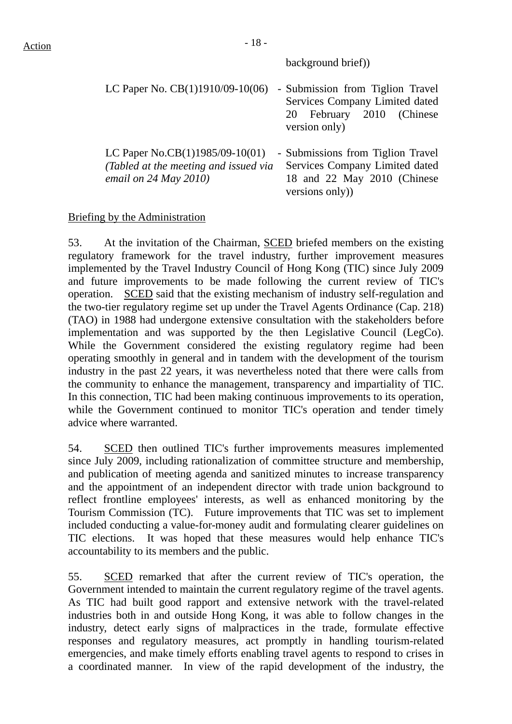#### background brief))

| LC Paper No. $CB(1)1910/09-10(06)$                                                                            | - Submission from Tiglion Travel<br>Services Company Limited dated<br>20 February 2010 (Chinese<br>version only)     |
|---------------------------------------------------------------------------------------------------------------|----------------------------------------------------------------------------------------------------------------------|
| LC Paper No.CB $(1)$ 1985/09-10 $(01)$<br>(Tabled at the meeting and issued via<br>email on $24$ May $2010$ ) | - Submissions from Tiglion Travel<br>Services Company Limited dated<br>18 and 22 May 2010 (Chinese<br>versions only) |

## Briefing by the Administration

53. At the invitation of the Chairman, SCED briefed members on the existing regulatory framework for the travel industry, further improvement measures implemented by the Travel Industry Council of Hong Kong (TIC) since July 2009 and future improvements to be made following the current review of TIC's operation. SCED said that the existing mechanism of industry self-regulation and the two-tier regulatory regime set up under the Travel Agents Ordinance (Cap. 218) (TAO) in 1988 had undergone extensive consultation with the stakeholders before implementation and was supported by the then Legislative Council (LegCo). While the Government considered the existing regulatory regime had been operating smoothly in general and in tandem with the development of the tourism industry in the past 22 years, it was nevertheless noted that there were calls from the community to enhance the management, transparency and impartiality of TIC. In this connection, TIC had been making continuous improvements to its operation, while the Government continued to monitor TIC's operation and tender timely advice where warranted.

54. SCED then outlined TIC's further improvements measures implemented since July 2009, including rationalization of committee structure and membership, and publication of meeting agenda and sanitized minutes to increase transparency and the appointment of an independent director with trade union background to reflect frontline employees' interests, as well as enhanced monitoring by the Tourism Commission (TC). Future improvements that TIC was set to implement included conducting a value-for-money audit and formulating clearer guidelines on TIC elections. It was hoped that these measures would help enhance TIC's accountability to its members and the public.

55. SCED remarked that after the current review of TIC's operation, the Government intended to maintain the current regulatory regime of the travel agents. As TIC had built good rapport and extensive network with the travel-related industries both in and outside Hong Kong, it was able to follow changes in the industry, detect early signs of malpractices in the trade, formulate effective responses and regulatory measures, act promptly in handling tourism-related emergencies, and make timely efforts enabling travel agents to respond to crises in a coordinated manner. In view of the rapid development of the industry, the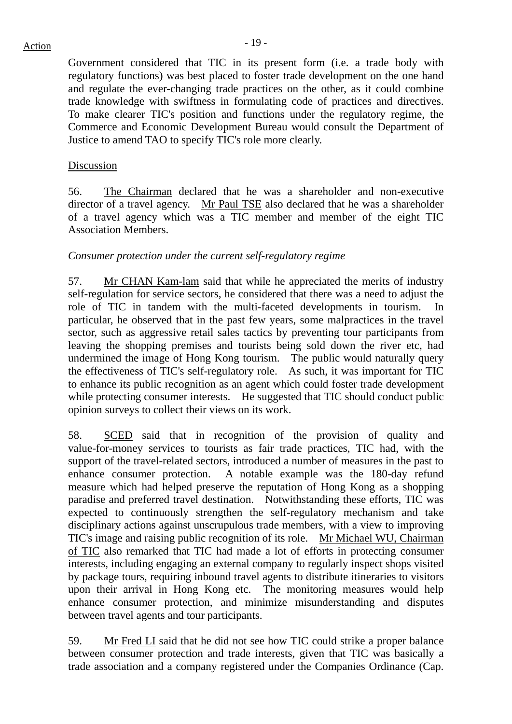Government considered that TIC in its present form (i.e. a trade body with regulatory functions) was best placed to foster trade development on the one hand and regulate the ever-changing trade practices on the other, as it could combine trade knowledge with swiftness in formulating code of practices and directives. To make clearer TIC's position and functions under the regulatory regime, the Commerce and Economic Development Bureau would consult the Department of Justice to amend TAO to specify TIC's role more clearly.

#### Discussion

56. The Chairman declared that he was a shareholder and non-executive director of a travel agency. Mr Paul TSE also declared that he was a shareholder of a travel agency which was a TIC member and member of the eight TIC Association Members.

#### *Consumer protection under the current self-regulatory regime*

57. Mr CHAN Kam-lam said that while he appreciated the merits of industry self-regulation for service sectors, he considered that there was a need to adjust the role of TIC in tandem with the multi-faceted developments in tourism. In particular, he observed that in the past few years, some malpractices in the travel sector, such as aggressive retail sales tactics by preventing tour participants from leaving the shopping premises and tourists being sold down the river etc, had undermined the image of Hong Kong tourism. The public would naturally query the effectiveness of TIC's self-regulatory role. As such, it was important for TIC to enhance its public recognition as an agent which could foster trade development while protecting consumer interests. He suggested that TIC should conduct public opinion surveys to collect their views on its work.

58. SCED said that in recognition of the provision of quality and value-for-money services to tourists as fair trade practices, TIC had, with the support of the travel-related sectors, introduced a number of measures in the past to enhance consumer protection. A notable example was the 180-day refund measure which had helped preserve the reputation of Hong Kong as a shopping paradise and preferred travel destination. Notwithstanding these efforts, TIC was expected to continuously strengthen the self-regulatory mechanism and take disciplinary actions against unscrupulous trade members, with a view to improving TIC's image and raising public recognition of its role. Mr Michael WU, Chairman of TIC also remarked that TIC had made a lot of efforts in protecting consumer interests, including engaging an external company to regularly inspect shops visited by package tours, requiring inbound travel agents to distribute itineraries to visitors upon their arrival in Hong Kong etc. The monitoring measures would help enhance consumer protection, and minimize misunderstanding and disputes between travel agents and tour participants.

59. Mr Fred LI said that he did not see how TIC could strike a proper balance between consumer protection and trade interests, given that TIC was basically a trade association and a company registered under the Companies Ordinance (Cap.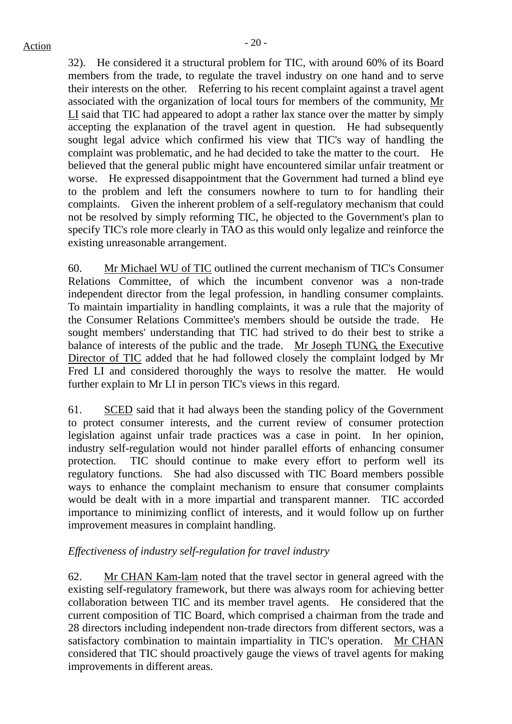32). He considered it a structural problem for TIC, with around 60% of its Board members from the trade, to regulate the travel industry on one hand and to serve their interests on the other. Referring to his recent complaint against a travel agent associated with the organization of local tours for members of the community, Mr LI said that TIC had appeared to adopt a rather lax stance over the matter by simply accepting the explanation of the travel agent in question. He had subsequently sought legal advice which confirmed his view that TIC's way of handling the complaint was problematic, and he had decided to take the matter to the court. He believed that the general public might have encountered similar unfair treatment or worse. He expressed disappointment that the Government had turned a blind eye to the problem and left the consumers nowhere to turn to for handling their complaints. Given the inherent problem of a self-regulatory mechanism that could not be resolved by simply reforming TIC, he objected to the Government's plan to specify TIC's role more clearly in TAO as this would only legalize and reinforce the existing unreasonable arrangement.

60. Mr Michael WU of TIC outlined the current mechanism of TIC's Consumer Relations Committee, of which the incumbent convenor was a non-trade independent director from the legal profession, in handling consumer complaints. To maintain impartiality in handling complaints, it was a rule that the majority of the Consumer Relations Committee's members should be outside the trade. He sought members' understanding that TIC had strived to do their best to strike a balance of interests of the public and the trade. Mr Joseph TUNG, the Executive Director of TIC added that he had followed closely the complaint lodged by Mr Fred LI and considered thoroughly the ways to resolve the matter. He would further explain to Mr LI in person TIC's views in this regard.

61. SCED said that it had always been the standing policy of the Government to protect consumer interests, and the current review of consumer protection legislation against unfair trade practices was a case in point. In her opinion, industry self-regulation would not hinder parallel efforts of enhancing consumer protection. TIC should continue to make every effort to perform well its regulatory functions. She had also discussed with TIC Board members possible ways to enhance the complaint mechanism to ensure that consumer complaints would be dealt with in a more impartial and transparent manner. TIC accorded importance to minimizing conflict of interests, and it would follow up on further improvement measures in complaint handling.

## *Effectiveness of industry self-regulation for travel industry*

62. Mr CHAN Kam-lam noted that the travel sector in general agreed with the existing self-regulatory framework, but there was always room for achieving better collaboration between TIC and its member travel agents. He considered that the current composition of TIC Board, which comprised a chairman from the trade and 28 directors including independent non-trade directors from different sectors, was a satisfactory combination to maintain impartiality in TIC's operation. Mr CHAN considered that TIC should proactively gauge the views of travel agents for making improvements in different areas.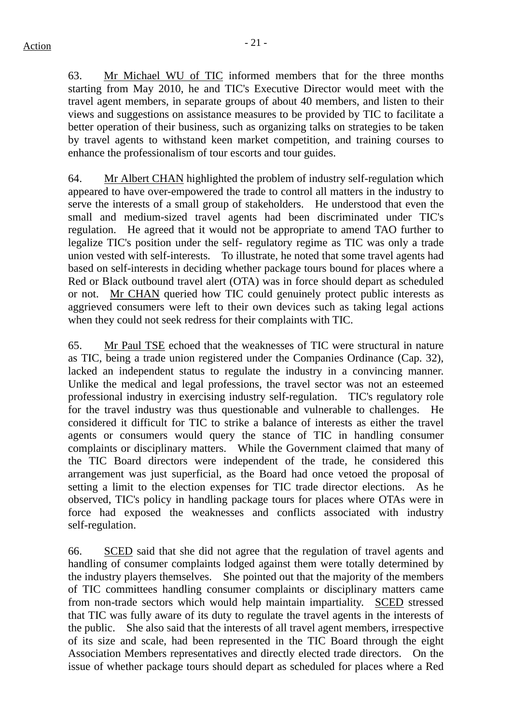63. Mr Michael WU of TIC informed members that for the three months starting from May 2010, he and TIC's Executive Director would meet with the travel agent members, in separate groups of about 40 members, and listen to their views and suggestions on assistance measures to be provided by TIC to facilitate a better operation of their business, such as organizing talks on strategies to be taken by travel agents to withstand keen market competition, and training courses to enhance the professionalism of tour escorts and tour guides.

64. Mr Albert CHAN highlighted the problem of industry self-regulation which appeared to have over-empowered the trade to control all matters in the industry to serve the interests of a small group of stakeholders. He understood that even the small and medium-sized travel agents had been discriminated under TIC's regulation. He agreed that it would not be appropriate to amend TAO further to legalize TIC's position under the self- regulatory regime as TIC was only a trade union vested with self-interests. To illustrate, he noted that some travel agents had based on self-interests in deciding whether package tours bound for places where a Red or Black outbound travel alert (OTA) was in force should depart as scheduled or not. Mr CHAN queried how TIC could genuinely protect public interests as aggrieved consumers were left to their own devices such as taking legal actions when they could not seek redress for their complaints with TIC.

65. Mr Paul TSE echoed that the weaknesses of TIC were structural in nature as TIC, being a trade union registered under the Companies Ordinance (Cap. 32), lacked an independent status to regulate the industry in a convincing manner. Unlike the medical and legal professions, the travel sector was not an esteemed professional industry in exercising industry self-regulation. TIC's regulatory role for the travel industry was thus questionable and vulnerable to challenges. He considered it difficult for TIC to strike a balance of interests as either the travel agents or consumers would query the stance of TIC in handling consumer complaints or disciplinary matters. While the Government claimed that many of the TIC Board directors were independent of the trade, he considered this arrangement was just superficial, as the Board had once vetoed the proposal of setting a limit to the election expenses for TIC trade director elections. As he observed, TIC's policy in handling package tours for places where OTAs were in force had exposed the weaknesses and conflicts associated with industry self-regulation.

66. SCED said that she did not agree that the regulation of travel agents and handling of consumer complaints lodged against them were totally determined by the industry players themselves. She pointed out that the majority of the members of TIC committees handling consumer complaints or disciplinary matters came from non-trade sectors which would help maintain impartiality. SCED stressed that TIC was fully aware of its duty to regulate the travel agents in the interests of the public. She also said that the interests of all travel agent members, irrespective of its size and scale, had been represented in the TIC Board through the eight Association Members representatives and directly elected trade directors. On the issue of whether package tours should depart as scheduled for places where a Red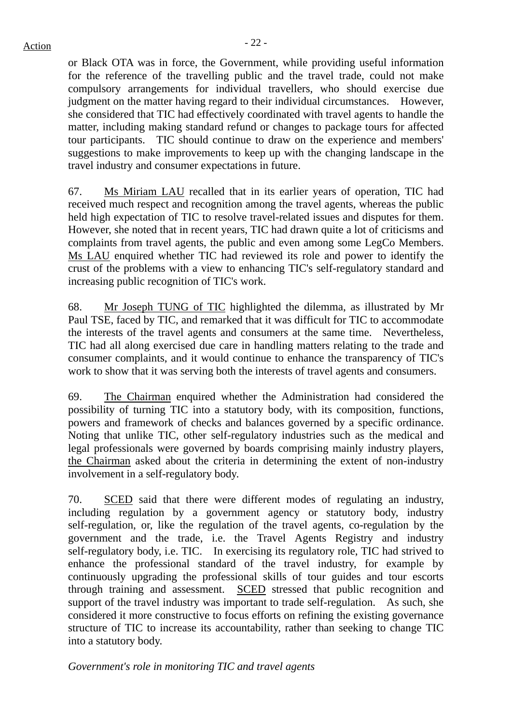or Black OTA was in force, the Government, while providing useful information for the reference of the travelling public and the travel trade, could not make compulsory arrangements for individual travellers, who should exercise due judgment on the matter having regard to their individual circumstances. However, she considered that TIC had effectively coordinated with travel agents to handle the matter, including making standard refund or changes to package tours for affected tour participants. TIC should continue to draw on the experience and members' suggestions to make improvements to keep up with the changing landscape in the travel industry and consumer expectations in future.

67. Ms Miriam LAU recalled that in its earlier years of operation, TIC had received much respect and recognition among the travel agents, whereas the public held high expectation of TIC to resolve travel-related issues and disputes for them. However, she noted that in recent years, TIC had drawn quite a lot of criticisms and complaints from travel agents, the public and even among some LegCo Members. Ms LAU enquired whether TIC had reviewed its role and power to identify the crust of the problems with a view to enhancing TIC's self-regulatory standard and increasing public recognition of TIC's work.

68. Mr Joseph TUNG of TIC highlighted the dilemma, as illustrated by Mr Paul TSE, faced by TIC, and remarked that it was difficult for TIC to accommodate the interests of the travel agents and consumers at the same time. Nevertheless, TIC had all along exercised due care in handling matters relating to the trade and consumer complaints, and it would continue to enhance the transparency of TIC's work to show that it was serving both the interests of travel agents and consumers.

69. The Chairman enquired whether the Administration had considered the possibility of turning TIC into a statutory body, with its composition, functions, powers and framework of checks and balances governed by a specific ordinance. Noting that unlike TIC, other self-regulatory industries such as the medical and legal professionals were governed by boards comprising mainly industry players, the Chairman asked about the criteria in determining the extent of non-industry involvement in a self-regulatory body.

70. SCED said that there were different modes of regulating an industry, including regulation by a government agency or statutory body, industry self-regulation, or, like the regulation of the travel agents, co-regulation by the government and the trade, i.e. the Travel Agents Registry and industry self-regulatory body, i.e. TIC. In exercising its regulatory role, TIC had strived to enhance the professional standard of the travel industry, for example by continuously upgrading the professional skills of tour guides and tour escorts through training and assessment. SCED stressed that public recognition and support of the travel industry was important to trade self-regulation. As such, she considered it more constructive to focus efforts on refining the existing governance structure of TIC to increase its accountability, rather than seeking to change TIC into a statutory body.

*Government's role in monitoring TIC and travel agents*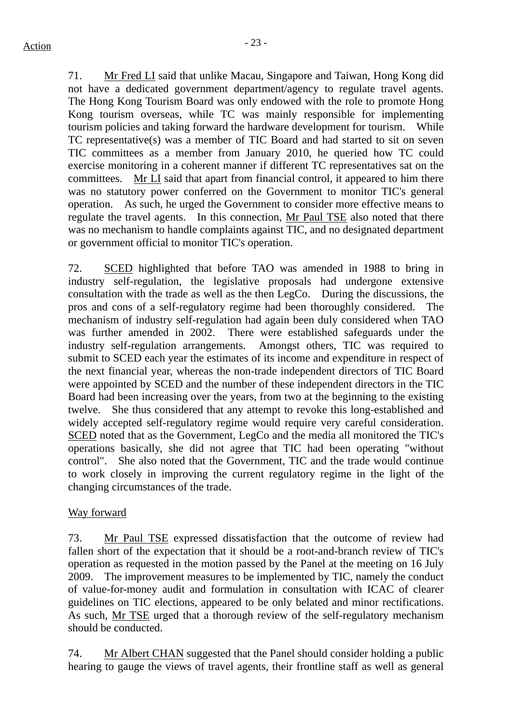71. Mr Fred LI said that unlike Macau, Singapore and Taiwan, Hong Kong did not have a dedicated government department/agency to regulate travel agents. The Hong Kong Tourism Board was only endowed with the role to promote Hong Kong tourism overseas, while TC was mainly responsible for implementing tourism policies and taking forward the hardware development for tourism. While TC representative(s) was a member of TIC Board and had started to sit on seven TIC committees as a member from January 2010, he queried how TC could exercise monitoring in a coherent manner if different TC representatives sat on the committees. Mr LI said that apart from financial control, it appeared to him there was no statutory power conferred on the Government to monitor TIC's general operation. As such, he urged the Government to consider more effective means to regulate the travel agents. In this connection, Mr Paul TSE also noted that there was no mechanism to handle complaints against TIC, and no designated department or government official to monitor TIC's operation.

72. SCED highlighted that before TAO was amended in 1988 to bring in industry self-regulation, the legislative proposals had undergone extensive consultation with the trade as well as the then LegCo. During the discussions, the pros and cons of a self-regulatory regime had been thoroughly considered. The mechanism of industry self-regulation had again been duly considered when TAO was further amended in 2002. There were established safeguards under the industry self-regulation arrangements. Amongst others, TIC was required to submit to SCED each year the estimates of its income and expenditure in respect of the next financial year, whereas the non-trade independent directors of TIC Board were appointed by SCED and the number of these independent directors in the TIC Board had been increasing over the years, from two at the beginning to the existing twelve. She thus considered that any attempt to revoke this long-established and widely accepted self-regulatory regime would require very careful consideration. SCED noted that as the Government, LegCo and the media all monitored the TIC's operations basically, she did not agree that TIC had been operating "without control". She also noted that the Government, TIC and the trade would continue to work closely in improving the current regulatory regime in the light of the changing circumstances of the trade.

# Way forward

73. Mr Paul TSE expressed dissatisfaction that the outcome of review had fallen short of the expectation that it should be a root-and-branch review of TIC's operation as requested in the motion passed by the Panel at the meeting on 16 July 2009. The improvement measures to be implemented by TIC, namely the conduct of value-for-money audit and formulation in consultation with ICAC of clearer guidelines on TIC elections, appeared to be only belated and minor rectifications. As such, Mr TSE urged that a thorough review of the self-regulatory mechanism should be conducted.

74. Mr Albert CHAN suggested that the Panel should consider holding a public hearing to gauge the views of travel agents, their frontline staff as well as general